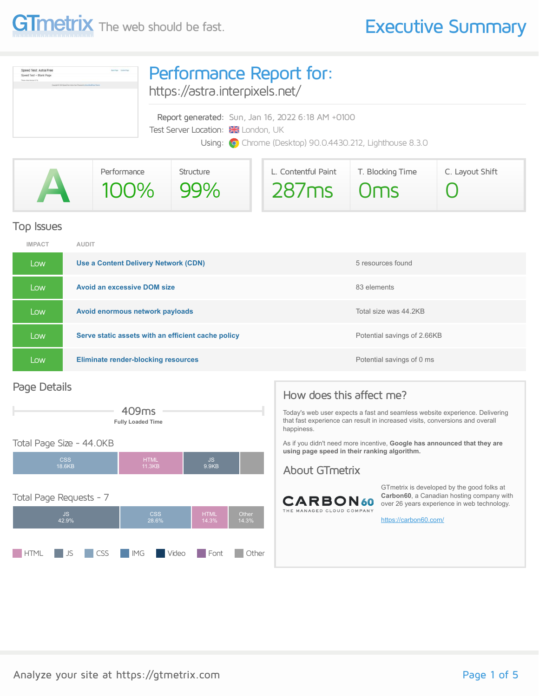



| Performance | Structure | L. Contentful Paint | T. Blocking Time | C. Layout Shift |
|-------------|-----------|---------------------|------------------|-----------------|
| 100% 99%    |           | 287ms 0ms           |                  |                 |

#### Top Issues

| <b>IMPACT</b> | <b>AUDIT</b>                                       |                             |
|---------------|----------------------------------------------------|-----------------------------|
| Low           | Use a Content Delivery Network (CDN)               | 5 resources found           |
| Low           | <b>Avoid an excessive DOM size</b>                 | 83 elements                 |
| Low           | Avoid enormous network payloads                    | Total size was 44.2KB       |
| Low           | Serve static assets with an efficient cache policy | Potential savings of 2.66KB |
| Low           | <b>Eliminate render-blocking resources</b>         | Potential savings of 0 ms   |

#### Page Details



#### Total Page Size - 44.0KB



#### How does this affect me?

Today's web user expects a fast and seamless website experience. Delivering that fast experience can result in increased visits, conversions and overall happiness.

As if you didn't need more incentive, **Google has announced that they are using page speed in their ranking algorithm.**

#### About GTmetrix



GTmetrix is developed by the good folks at **Carbon60**, a Canadian hosting company with over 26 years experience in web technology.

<https://carbon60.com/>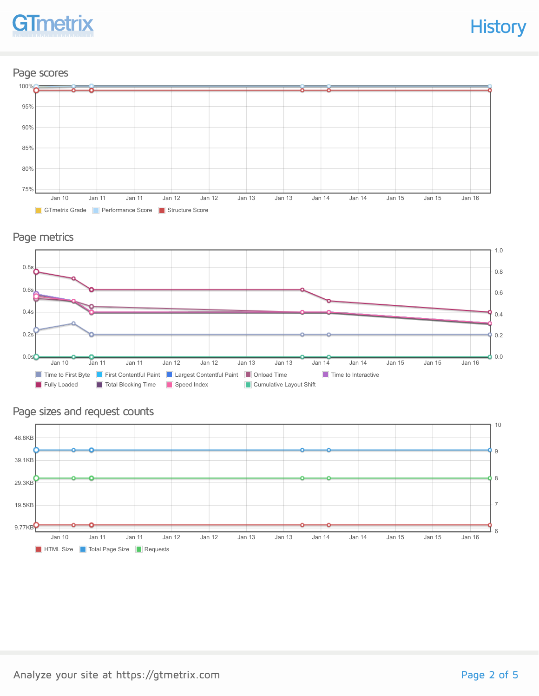

#### Page scores



#### Page metrics



#### Page sizes and request counts

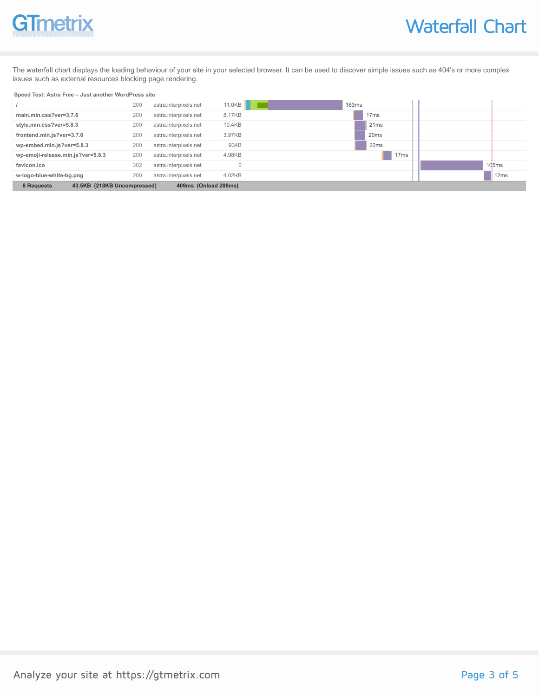# GTmetrix

The waterfall chart displays the loading behaviour of your site in your selected browser. It can be used to discover simple issues such as 404's or more complex issues such as external resources blocking page rendering.

#### **Speed Test: Astra Free – Just another WordPress site**

|                                           | 200 | astra.interpixels.net | 11.0KB               | 163ms            |       |
|-------------------------------------------|-----|-----------------------|----------------------|------------------|-------|
| main.min.css?ver=3.7.6                    | 200 | astra.interpixels.net | 8.17KB               | 17 <sub>ms</sub> |       |
| style.min.css?ver=5.8.3                   | 200 | astra.interpixels.net | 10.4KB               | 21ms             |       |
| frontend.min.js?ver=3.7.6                 | 200 | astra.interpixels.net | 3.97KB               | 20 <sub>ms</sub> |       |
| wp-embed.min.js?ver=5.8.3                 | 200 | astra.interpixels.net | 934B                 | 20 <sub>ms</sub> |       |
| wp-emoji-release.min.js?ver=5.8.3         | 200 | astra.interpixels.net | 4.98KB               | 17 <sub>ms</sub> |       |
| favicon.ico                               | 302 | astra.interpixels.net |                      |                  | 105ms |
| w-logo-blue-white-bg.png                  | 200 | astra.interpixels.net | 4.02KB               |                  | 12ms  |
| 8 Requests<br>43.5KB (218KB Uncompressed) |     |                       | 409ms (Onload 288ms) |                  |       |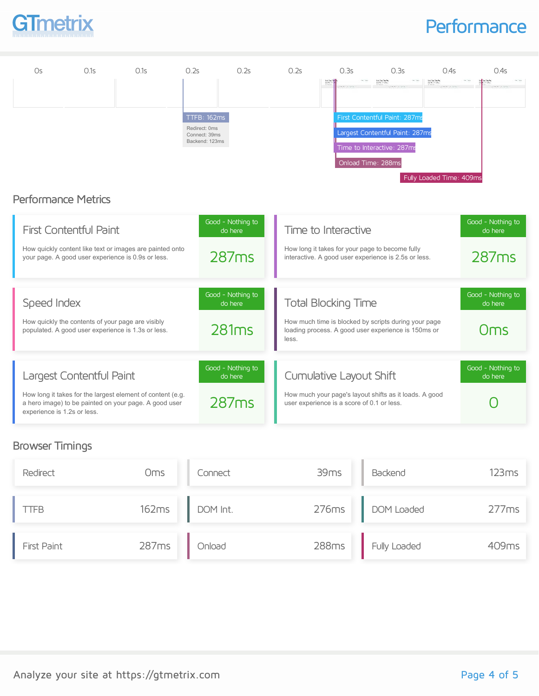

## **Performance**

| Os                          | 0.1s                                              | 0.1s                                                                                                                | 0.2s                                                                   | 0.2s                                  | 0.2s  | 0.3s                                                                  | 0.3s                                                                                                                 | 0.4s                            | 0.4s                                  |
|-----------------------------|---------------------------------------------------|---------------------------------------------------------------------------------------------------------------------|------------------------------------------------------------------------|---------------------------------------|-------|-----------------------------------------------------------------------|----------------------------------------------------------------------------------------------------------------------|---------------------------------|---------------------------------------|
|                             |                                                   |                                                                                                                     |                                                                        |                                       |       | <b>Le Tech</b>                                                        | Los Configurados<br>Apollo de Calvillo                                                                               | Los Confusions<br>Ann an Confus |                                       |
| <b>Performance Metrics</b>  |                                                   |                                                                                                                     | <b>TTFB: 162ms</b><br>Redirect: 0ms<br>Connect: 39ms<br>Backend: 123ms |                                       |       |                                                                       | First Contentful Paint: 287ms<br>Largest Contentful Paint: 287ms<br>Time to Interactive: 287ms<br>Onload Time: 288ms | Fully Loaded Time: 409ms        |                                       |
|                             | <b>First Contentful Paint</b>                     | How quickly content like text or images are painted onto<br>your page. A good user experience is 0.9s or less.      |                                                                        | Good - Nothing to<br>do here<br>287ms |       | Time to Interactive                                                   | How long it takes for your page to become fully<br>interactive. A good user experience is 2.5s or less.              |                                 | Good - Nothing to<br>do here<br>287ms |
| Speed Index                 | How quickly the contents of your page are visibly | populated. A good user experience is 1.3s or less.                                                                  |                                                                        | Good - Nothing to<br>do here<br>281ms | less. | <b>Total Blocking Time</b>                                            | How much time is blocked by scripts during your page<br>loading process. A good user experience is 150ms or          |                                 | Good - Nothing to<br>do here<br>Oms   |
| experience is 1.2s or less. | Largest Contentful Paint                          | How long it takes for the largest element of content (e.g.<br>a hero image) to be painted on your page. A good user |                                                                        | Good - Nothing to<br>do here<br>287ms |       | Cumulative Layout Shift<br>user experience is a score of 0.1 or less. | How much your page's layout shifts as it loads. A good                                                               |                                 | Good - Nothing to<br>do here          |

### Browser Timings

| Redirect    | Oms   | Connect  | 39 <sub>ms</sub> | Backend          | 123ms |
|-------------|-------|----------|------------------|------------------|-------|
| LTFB.       | 162ms | DOM Int. |                  | 276ms DOM Loaded | 277ms |
| First Paint | 287ms | Onload   | 288ms            | Fully Loaded     | 409ms |